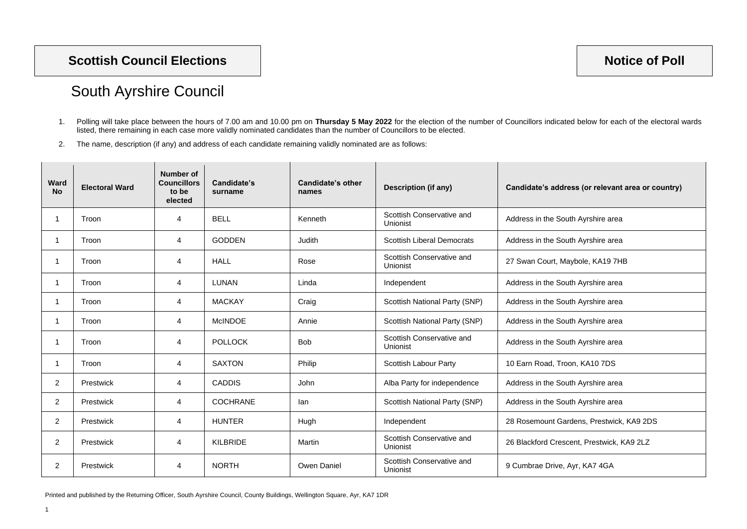Printed and published by the Returning Officer, South Ayrshire Council, County Buildings, Wellington Square, Ayr, KA7 1DR

## South Ayrshire Council

- 1. Polling will take place between the hours of 7.00 am and 10.00 pm on **Thursday 5 May 2022** for the election of the number of Councillors indicated below for each of the electoral wards listed, there remaining in each case more validly nominated candidates than the number of Councillors to be elected.
- 2. The name, description (if any) and address of each candidate remaining validly nominated are as follows:

| <b>Ward</b><br><b>No</b> | <b>Electoral Ward</b> | <b>Number of</b><br><b>Councillors</b><br>to be<br>elected | Candidate's<br>surname | <b>Candidate's other</b><br>names | <b>Description (if any)</b>                  | Candidate's address (or relevant area or country) |
|--------------------------|-----------------------|------------------------------------------------------------|------------------------|-----------------------------------|----------------------------------------------|---------------------------------------------------|
|                          | Troon                 | $\overline{4}$                                             | <b>BELL</b>            | Kenneth                           | Scottish Conservative and<br><b>Unionist</b> | Address in the South Ayrshire area                |
| -1                       | Troon                 | $\overline{4}$                                             | <b>GODDEN</b>          | Judith                            | <b>Scottish Liberal Democrats</b>            | Address in the South Ayrshire area                |
|                          | Troon                 | 4                                                          | <b>HALL</b>            | Rose                              | Scottish Conservative and<br>Unionist        | 27 Swan Court, Maybole, KA19 7HB                  |
| -1                       | Troon                 | $\overline{4}$                                             | <b>LUNAN</b>           | Linda                             | Independent                                  | Address in the South Ayrshire area                |
|                          | Troon                 | $\overline{4}$                                             | <b>MACKAY</b>          | Craig                             | <b>Scottish National Party (SNP)</b>         | Address in the South Ayrshire area                |
|                          | Troon                 | $\overline{4}$                                             | <b>McINDOE</b>         | Annie                             | <b>Scottish National Party (SNP)</b>         | Address in the South Ayrshire area                |
|                          | Troon                 | $\overline{4}$                                             | <b>POLLOCK</b>         | <b>Bob</b>                        | Scottish Conservative and<br><b>Unionist</b> | Address in the South Ayrshire area                |
|                          | Troon                 | 4                                                          | <b>SAXTON</b>          | Philip                            | <b>Scottish Labour Party</b>                 | 10 Earn Road, Troon, KA10 7DS                     |
| 2                        | Prestwick             | $\overline{4}$                                             | <b>CADDIS</b>          | John                              | Alba Party for independence                  | Address in the South Ayrshire area                |
| 2                        | Prestwick             | $\overline{4}$                                             | <b>COCHRANE</b>        | lan                               | <b>Scottish National Party (SNP)</b>         | Address in the South Ayrshire area                |
| 2                        | Prestwick             | 4                                                          | <b>HUNTER</b>          | Hugh                              | Independent                                  | 28 Rosemount Gardens, Prestwick, KA9 2DS          |
| 2                        | Prestwick             | $\overline{4}$                                             | <b>KILBRIDE</b>        | Martin                            | Scottish Conservative and<br><b>Unionist</b> | 26 Blackford Crescent, Prestwick, KA9 2LZ         |
| 2                        | Prestwick             | 4                                                          | <b>NORTH</b>           | Owen Daniel                       | Scottish Conservative and<br>Unionist        | 9 Cumbrae Drive, Ayr, KA7 4GA                     |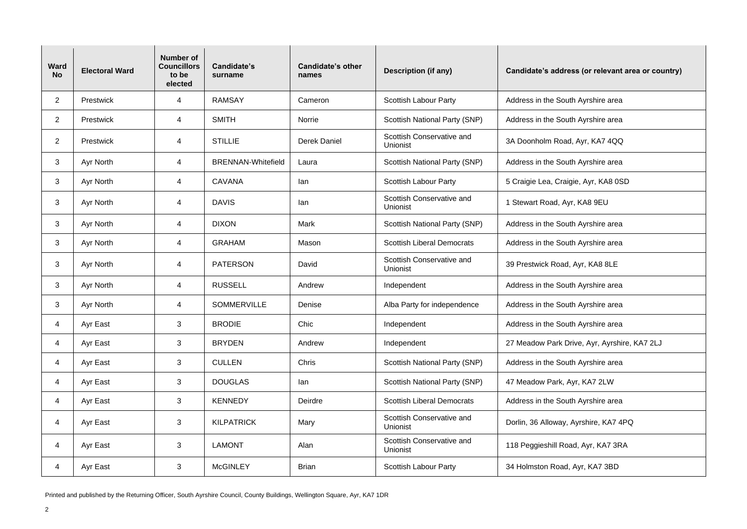Printed and published by the Returning Officer, South Ayrshire Council, County Buildings, Wellington Square, Ayr, KA7 1DR

| <b>Ward</b><br><b>No</b> | <b>Electoral Ward</b> | <b>Number of</b><br><b>Councillors</b><br>to be<br>elected | <b>Candidate's</b><br>surname | <b>Candidate's other</b><br>names | <b>Description (if any)</b>                  | Candidate's address (or relevant area or country) |
|--------------------------|-----------------------|------------------------------------------------------------|-------------------------------|-----------------------------------|----------------------------------------------|---------------------------------------------------|
| $\overline{2}$           | Prestwick             | 4                                                          | <b>RAMSAY</b>                 | Cameron                           | <b>Scottish Labour Party</b>                 | Address in the South Ayrshire area                |
| $\overline{2}$           | <b>Prestwick</b>      | 4                                                          | <b>SMITH</b>                  | Norrie                            | <b>Scottish National Party (SNP)</b>         | Address in the South Ayrshire area                |
| $\overline{2}$           | Prestwick             | 4                                                          | <b>STILLIE</b>                | <b>Derek Daniel</b>               | Scottish Conservative and<br>Unionist        | 3A Doonholm Road, Ayr, KA7 4QQ                    |
| 3                        | Ayr North             | 4                                                          | <b>BRENNAN-Whitefield</b>     | Laura                             | <b>Scottish National Party (SNP)</b>         | Address in the South Ayrshire area                |
| 3                        | Ayr North             | 4                                                          | <b>CAVANA</b>                 | lan                               | <b>Scottish Labour Party</b>                 | 5 Craigie Lea, Craigie, Ayr, KA8 0SD              |
| 3                        | Ayr North             | 4                                                          | <b>DAVIS</b>                  | lan                               | Scottish Conservative and<br>Unionist        | 1 Stewart Road, Ayr, KA8 9EU                      |
| 3                        | Ayr North             | 4                                                          | <b>DIXON</b>                  | <b>Mark</b>                       | <b>Scottish National Party (SNP)</b>         | Address in the South Ayrshire area                |
| 3                        | Ayr North             | 4                                                          | <b>GRAHAM</b>                 | Mason                             | <b>Scottish Liberal Democrats</b>            | Address in the South Ayrshire area                |
| 3                        | Ayr North             | 4                                                          | <b>PATERSON</b>               | David                             | Scottish Conservative and<br>Unionist        | 39 Prestwick Road, Ayr, KA8 8LE                   |
| 3                        | Ayr North             | 4                                                          | <b>RUSSELL</b>                | Andrew                            | Independent                                  | Address in the South Ayrshire area                |
| 3                        | Ayr North             | 4                                                          | <b>SOMMERVILLE</b>            | Denise                            | Alba Party for independence                  | Address in the South Ayrshire area                |
| 4                        | Ayr East              | 3                                                          | <b>BRODIE</b>                 | Chic                              | Independent                                  | Address in the South Ayrshire area                |
| 4                        | Ayr East              | 3                                                          | <b>BRYDEN</b>                 | Andrew                            | Independent                                  | 27 Meadow Park Drive, Ayr, Ayrshire, KA7 2LJ      |
| 4                        | Ayr East              | 3                                                          | <b>CULLEN</b>                 | Chris                             | <b>Scottish National Party (SNP)</b>         | Address in the South Ayrshire area                |
| 4                        | Ayr East              | 3                                                          | <b>DOUGLAS</b>                | lan                               | <b>Scottish National Party (SNP)</b>         | 47 Meadow Park, Ayr, KA7 2LW                      |
| 4                        | Ayr East              | $\mathbf{3}$                                               | <b>KENNEDY</b>                | Deirdre                           | <b>Scottish Liberal Democrats</b>            | Address in the South Ayrshire area                |
| 4                        | Ayr East              | $\sqrt{3}$                                                 | <b>KILPATRICK</b>             | Mary                              | Scottish Conservative and<br>Unionist        | Dorlin, 36 Alloway, Ayrshire, KA7 4PQ             |
| 4                        | Ayr East              | $\sqrt{3}$                                                 | <b>LAMONT</b>                 | Alan                              | Scottish Conservative and<br><b>Unionist</b> | 118 Peggieshill Road, Ayr, KA7 3RA                |
| 4                        | Ayr East              | $\mathbf{3}$                                               | <b>McGINLEY</b>               | <b>Brian</b>                      | <b>Scottish Labour Party</b>                 | 34 Holmston Road, Ayr, KA7 3BD                    |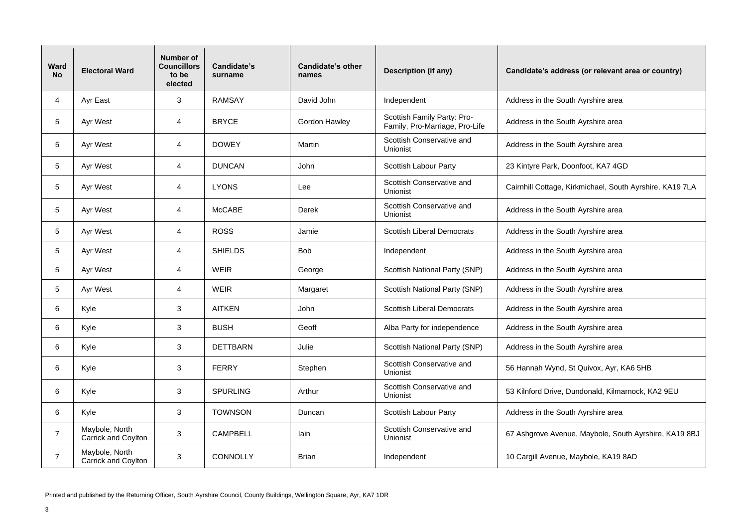Printed and published by the Returning Officer, South Ayrshire Council, County Buildings, Wellington Square, Ayr, KA7 1DR

| <b>Ward</b><br><b>No</b> | <b>Electoral Ward</b>                        | <b>Number of</b><br><b>Councillors</b><br>to be<br>elected | <b>Candidate's</b><br>surname | <b>Candidate's other</b><br>names | <b>Description (if any)</b>                                   | Candidate's address (or relevant area or country)        |
|--------------------------|----------------------------------------------|------------------------------------------------------------|-------------------------------|-----------------------------------|---------------------------------------------------------------|----------------------------------------------------------|
| 4                        | Ayr East                                     | $\mathfrak{B}$                                             | <b>RAMSAY</b>                 | David John                        | Independent                                                   | Address in the South Ayrshire area                       |
| 5                        | Ayr West                                     | 4                                                          | <b>BRYCE</b>                  | <b>Gordon Hawley</b>              | Scottish Family Party: Pro-<br>Family, Pro-Marriage, Pro-Life | Address in the South Ayrshire area                       |
| 5                        | Ayr West                                     | 4                                                          | <b>DOWEY</b>                  | Martin                            | Scottish Conservative and<br>Unionist                         | Address in the South Ayrshire area                       |
| 5                        | Ayr West                                     | 4                                                          | <b>DUNCAN</b>                 | John                              | <b>Scottish Labour Party</b>                                  | 23 Kintyre Park, Doonfoot, KA7 4GD                       |
| 5                        | Ayr West                                     | 4                                                          | <b>LYONS</b>                  | Lee                               | <b>Scottish Conservative and</b><br><b>Unionist</b>           | Cairnhill Cottage, Kirkmichael, South Ayrshire, KA19 7LA |
| 5                        | <b>Ayr West</b>                              | 4                                                          | <b>McCABE</b>                 | <b>Derek</b>                      | Scottish Conservative and<br><b>Unionist</b>                  | Address in the South Ayrshire area                       |
| 5                        | Ayr West                                     | 4                                                          | <b>ROSS</b>                   | Jamie                             | <b>Scottish Liberal Democrats</b>                             | Address in the South Ayrshire area                       |
| 5                        | Ayr West                                     | 4                                                          | <b>SHIELDS</b>                | <b>Bob</b>                        | Independent                                                   | Address in the South Ayrshire area                       |
| 5                        | Ayr West                                     | 4                                                          | <b>WEIR</b>                   | George                            | <b>Scottish National Party (SNP)</b>                          | Address in the South Ayrshire area                       |
| 5                        | Ayr West                                     | 4                                                          | <b>WEIR</b>                   | Margaret                          | <b>Scottish National Party (SNP)</b>                          | Address in the South Ayrshire area                       |
| 6                        | Kyle                                         | 3                                                          | <b>AITKEN</b>                 | John                              | <b>Scottish Liberal Democrats</b>                             | Address in the South Ayrshire area                       |
| 6                        | Kyle                                         | 3                                                          | <b>BUSH</b>                   | Geoff                             | Alba Party for independence                                   | Address in the South Ayrshire area                       |
| 6                        | Kyle                                         | 3                                                          | <b>DETTBARN</b>               | Julie                             | <b>Scottish National Party (SNP)</b>                          | Address in the South Ayrshire area                       |
| 6                        | Kyle                                         | $\sqrt{3}$                                                 | <b>FERRY</b>                  | Stephen                           | Scottish Conservative and<br><b>Unionist</b>                  | 56 Hannah Wynd, St Quivox, Ayr, KA6 5HB                  |
| 6                        | Kyle                                         | $\mathfrak{B}$                                             | <b>SPURLING</b>               | Arthur                            | <b>Scottish Conservative and</b><br>Unionist                  | 53 Kilnford Drive, Dundonald, Kilmarnock, KA2 9EU        |
| 6                        | Kyle                                         | $\sqrt{3}$                                                 | <b>TOWNSON</b>                | Duncan                            | <b>Scottish Labour Party</b>                                  | Address in the South Ayrshire area                       |
| $\overline{7}$           | Maybole, North<br><b>Carrick and Coylton</b> | $\sqrt{3}$                                                 | <b>CAMPBELL</b>               | lain                              | <b>Scottish Conservative and</b><br>Unionist                  | 67 Ashgrove Avenue, Maybole, South Ayrshire, KA19 8BJ    |
| $\overline{7}$           | Maybole, North<br>Carrick and Coylton        | 3                                                          | <b>CONNOLLY</b>               | <b>Brian</b>                      | Independent                                                   | 10 Cargill Avenue, Maybole, KA19 8AD                     |